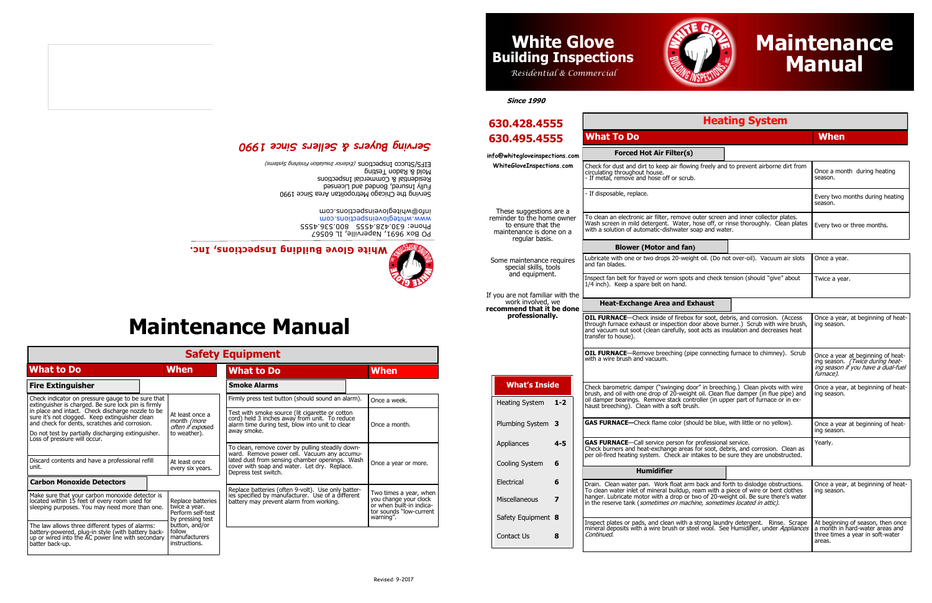# **White Glove Building Inspections, Inc.**

PO Box 9691, Naperville, IL 60567 Phone: 630.428.4555 800.536.4555 www.whiteglovenspections.com info@whitegloveinspections.com



| <b>Safety Equipment</b>                                                                                                                                                       |  |                                                                             |                                                                                                                                                     |  |                                                                                                                     |  |
|-------------------------------------------------------------------------------------------------------------------------------------------------------------------------------|--|-----------------------------------------------------------------------------|-----------------------------------------------------------------------------------------------------------------------------------------------------|--|---------------------------------------------------------------------------------------------------------------------|--|
| <b>What to Do</b>                                                                                                                                                             |  | <b>When</b>                                                                 | <b>What to Do</b>                                                                                                                                   |  | <b>When</b>                                                                                                         |  |
| <b>Fire Extinguisher</b>                                                                                                                                                      |  |                                                                             | <b>Smoke Alarms</b>                                                                                                                                 |  |                                                                                                                     |  |
| Check indicator on pressure gauge to be sure that<br>extinguisher is charged. Be sure lock pin is firmly                                                                      |  |                                                                             | Firmly press test button (should sound an alarm).                                                                                                   |  | Once a week.                                                                                                        |  |
| in place and intact. Check discharge nozzle to be<br>sure it's not clogged. Keep extinguisher clean<br>and check for dents, scratches and corrosion.                          |  | At least once a<br>month <i>(more</i><br>often if exposed                   | Test with smoke source (lit cigarette or cotton<br>cord) held 3 inches away from unit. To reduce<br>alarm time during test, blow into unit to clear |  | Once a month.                                                                                                       |  |
| Do not test by partially discharging extinguisher.<br>Loss of pressure will occur.                                                                                            |  | to weather).                                                                | away smoke.                                                                                                                                         |  |                                                                                                                     |  |
|                                                                                                                                                                               |  |                                                                             | To clean, remove cover by pulling steadily down-<br>ward. Remove power cell. Vacuum any accumu-                                                     |  |                                                                                                                     |  |
| Discard contents and have a professional refill<br>unit.                                                                                                                      |  | At least once<br>every six years.                                           | lated dust from sensing chamber openings. Wash<br>cover with soap and water. Let dry. Replace.<br>Depress test switch.                              |  | Once a year or more.                                                                                                |  |
| <b>Carbon Monoxide Detectors</b>                                                                                                                                              |  |                                                                             |                                                                                                                                                     |  |                                                                                                                     |  |
| Make sure that your carbon monoxide detector is<br>located within 15 feet of every room used for<br>sleeping purposes. You may need more than one.                            |  | Replace batteries<br>twice a year.<br>Perform self-test<br>by pressing test | Replace batteries (often 9-volt). Use only batteries specified by manufacturer. Use of a different<br>battery may prevent alarm from working.       |  | Two times a year, when<br>you change your clock<br>or when built-in indica-<br>tor sounds "low-current<br>warning". |  |
| The law allows three different types of alarms:<br>battery-powered, plug-in style (with battery back-<br>up or wired into the AC power line with secondary<br>batter back-up. |  | button, and/or<br>follow<br>manufacturers<br>instructions.                  |                                                                                                                                                     |  |                                                                                                                     |  |

## **Maintenance Manual**



### *Serving Buyers & Sellers Since 1990*

Serving the Chicago Metropolitan Area Since 1990 Fully Insured, Bonded and Licensed Residential & Commercial Inspections Mold & Radon Testing EIFS/Stucco Inspections (Exterior Insidential model systems)

#### **Heating System**

| in the reserve tank ( <i>sumetimes on machine, sumetimes located in attic).</i>                                                                                                                                                                                   |                                              |
|-------------------------------------------------------------------------------------------------------------------------------------------------------------------------------------------------------------------------------------------------------------------|----------------------------------------------|
| Inspect plates or pads, and clean with a strong laundry detergent. Rinse. Scrape   At beginning of season, then once<br>mineral deposits with a wire brush or steel wool. See Humidifier, under <i>Appliances</i>   a month in hard-water areas and<br>Continued. | l three times a vear in soft-water<br>areas. |

#### **Forced Hot Air Filter** Check for dust and dirt to keep air flow circulating throughout house. - If metal, remove and hose off or scr - If disposable, replace. To clean an electronic air filter, remove with a solution of automatic-dishwater soap and water. **Blower (Motor and fan)** Lubricate with one or two drops 20-we and fan blades. **OIL FURNACE**—Check inside of fireb through furnace exhaust or inspection transfer to house). **OIL FURNACE**—Remove breeching ( with a wire brush and vacuum. Check barometric damper ("swinging brush, and oil with one drop of 20-weight haust breeching). Clean with a soft brush. **GAS FURNACE—Check flame color (show). GAS FURNACE**—Call service person Check burners and heat-exchange are per oil-fired heating system. Check air **Heat-Exchange Area and** These suggestions are a reminder to the home owner to ensure that the maintenance is done on a regular basis. Some maintenance requires special skills, tools and equipment. If you are not familiar with the work involved, we **recommend that it be done professionally.** Heating System **1-2** Plumbing System **3** Appliances **4-5** Cooling System **6** Electrical **6** Miscellaneous **7** Safety Equipment **8** Contact Us **8 What's Inside Humidifier** hanger. Lubricate motor with a drop or two of 20-weight oil. Be sure there is a strict of the sure that the sure that was water water was a strict of the strict of the strict of the strict of the strict of the strict of th in the reserve tank (sometimes on machine, son Continued. **630.428.4555 630.495.4555 What To Do When info@whitegloveinspections.com WhiteGloveInspections.com**

## **Maintenance Manual** *Residential* **& Commercial** *Manual*

| <b>What To Do</b>                                                                                                                                                                                                                                                                                       | <b>When</b>                                                                                                                    |
|---------------------------------------------------------------------------------------------------------------------------------------------------------------------------------------------------------------------------------------------------------------------------------------------------------|--------------------------------------------------------------------------------------------------------------------------------|
| <b>Forced Hot Air Filter(s)</b>                                                                                                                                                                                                                                                                         |                                                                                                                                |
| Check for dust and dirt to keep air flowing freely and to prevent airborne dirt from<br>circulating throughout house.<br>- If metal, remove and hose off or scrub.                                                                                                                                      | Once a month during heating<br>season.                                                                                         |
| - If disposable, replace.                                                                                                                                                                                                                                                                               | Every two months during heating<br>season.                                                                                     |
| To clean an electronic air filter, remove outer screen and inner collector plates.<br>Wash screen in mild detergent. Water, hose off, or rinse thoroughly. Clean plates<br>with a solution of automatic-dishwater soap and water.                                                                       | Every two or three months.                                                                                                     |
| <b>Blower (Motor and fan)</b>                                                                                                                                                                                                                                                                           |                                                                                                                                |
| Lubricate with one or two drops 20-weight oil. (Do not over-oil). Vacuum air slots<br>and fan blades.                                                                                                                                                                                                   | Once a year.                                                                                                                   |
| Inspect fan belt for frayed or worn spots and check tension (should "give" about<br>1/4 inch). Keep a spare belt on hand.                                                                                                                                                                               | Twice a year.                                                                                                                  |
| <b>Heat-Exchange Area and Exhaust</b>                                                                                                                                                                                                                                                                   |                                                                                                                                |
| OIL FURNACE-Check inside of firebox for soot, debris, and corrosion. (Access<br>through furnace exhaust or inspection door above burner.) Scrub with wire brush,<br>and vacuum out soot (clean carefully, soot acts as insulation and decreases heat<br>transfer to house).                             | Once a year, at beginning of heat-<br>ina season.                                                                              |
| <b>OIL FURNACE</b> —Remove breeching (pipe connecting furnace to chimney). Scrub<br>with a wire brush and vacuum.                                                                                                                                                                                       | Once a year at beginning of heat-<br>ing season. <i>(Twice during heat-</i><br>ing season if you have a dual-fuel<br>furnace). |
| Check barometric damper ("swinging door" in breeching.) Clean pivots with wire<br>brush, and oil with one drop of 20-weight oil. Clean flue damper (in flue pipe) and<br>oil damper bearings. Remove stack controller (in upper part of furnace or in ex-<br>haust breeching). Clean with a soft brush. | Once a year, at beginning of heat-<br>ing season.                                                                              |
| GAS FURNACE-Check flame color (should be blue, with little or no yellow).                                                                                                                                                                                                                               | Once a year at beginning of heat-<br>ing season.                                                                               |
| GAS FURNACE-Call service person for professional service.<br>Check burners and heat-exchange areas for soot, debris, and corrosion. Clean as<br>per oil-fired heating system. Check air intakes to be sure they are unobstructed.                                                                       | Yearly.                                                                                                                        |
| <b>Humidifier</b>                                                                                                                                                                                                                                                                                       |                                                                                                                                |
| Drain. Clean water pan. Work float arm back and forth to dislodge obstructions.<br>To clean water inlet of mineral buildup, ream with a piece of wire or bent clothes<br>hanger. Lubricate motor with a drop or two of 20-weight oil. Be sure there's water                                             | Once a year, at beginning of heat-<br>ing season.                                                                              |

**Since 1990**



### **White Glove Building Inspections**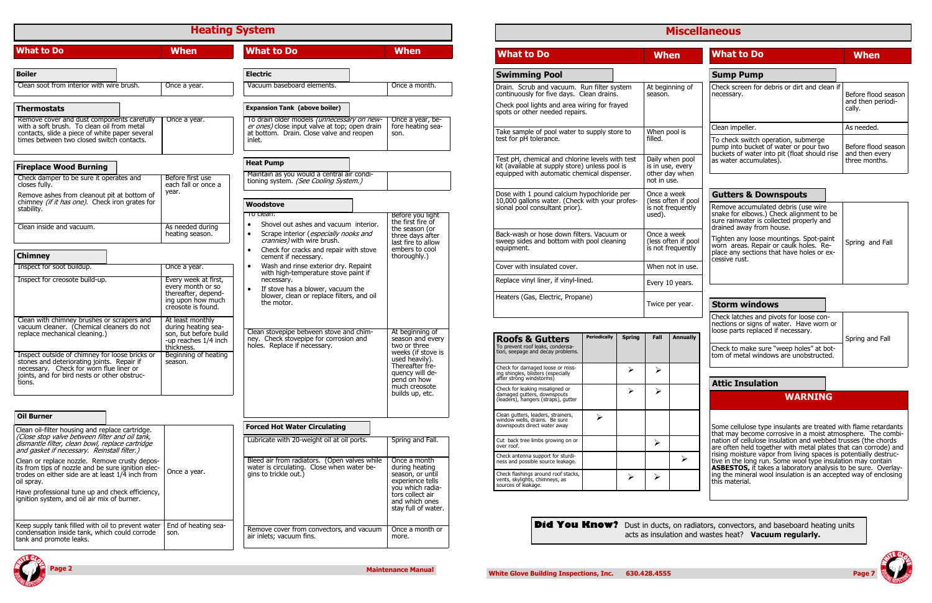|                                                                                                                                                                                                                                                                                                                            | <b>Heating System</b>                                                                                                                                           |                                                                                                                                                                 |                                                                                                                                                                                      |                                                                                                                                                                                                                                                                                                                                           | <b>Misc</b>                                                                            |   |
|----------------------------------------------------------------------------------------------------------------------------------------------------------------------------------------------------------------------------------------------------------------------------------------------------------------------------|-----------------------------------------------------------------------------------------------------------------------------------------------------------------|-----------------------------------------------------------------------------------------------------------------------------------------------------------------|--------------------------------------------------------------------------------------------------------------------------------------------------------------------------------------|-------------------------------------------------------------------------------------------------------------------------------------------------------------------------------------------------------------------------------------------------------------------------------------------------------------------------------------------|----------------------------------------------------------------------------------------|---|
| <b>What to Do</b>                                                                                                                                                                                                                                                                                                          | <b>When</b>                                                                                                                                                     | <b>What to Do</b>                                                                                                                                               | <b>When</b>                                                                                                                                                                          | <b>What to Do</b>                                                                                                                                                                                                                                                                                                                         | <b>When</b>                                                                            |   |
| <b>Boiler</b><br>Clean soot from interior with wire brush.<br><b>Thermostats</b>                                                                                                                                                                                                                                           | Once a year.                                                                                                                                                    | <b>Electric</b><br>Vacuum baseboard elements.<br><b>Expansion Tank (above boiler)</b>                                                                           | Once a month.                                                                                                                                                                        | <b>Swimming Pool</b><br>Drain. Scrub and vacuum. Run filter system<br>continuously for five days. Clean drains.<br>Check pool lights and area wiring for frayed                                                                                                                                                                           | At beginning<br>season.                                                                |   |
| Remove cover and dust components carefully<br>with a soft brush. To clean oil from metal<br>contacts, slide a piece of white paper several<br>times between two closed switch contacts.                                                                                                                                    | Once a year.                                                                                                                                                    | To drain older models (unnecessary on new-<br>er ones) close input valve at top; open drain<br>at bottom. Drain. Close valve and reopen<br>inlet.               | Once a year, be-<br>fore heating sea-<br>son.                                                                                                                                        | spots or other needed repairs.<br>Take sample of pool water to supply store to<br>test for pH tolerance.                                                                                                                                                                                                                                  | When pool is<br>filled.                                                                |   |
| <b>Fireplace Wood Burning</b><br>Check damper to be sure it operates and                                                                                                                                                                                                                                                   | Before first use                                                                                                                                                | <b>Heat Pump</b><br>Maintain as you would a central air condi-<br>tioning system. (See Cooling System.)                                                         |                                                                                                                                                                                      | Test pH, chemical and chlorine levels with test<br>kit (available at supply store) unless pool is<br>equipped with automatic chemical dispenser.                                                                                                                                                                                          | Daily when po<br>is in use, eve<br>other day wh<br>not in use.                         |   |
| closes fully.<br>Remove ashes from cleanout pit at bottom of<br>chimney (if it has one). Check iron grates for<br>stability.                                                                                                                                                                                               | each fall or once a<br>year.                                                                                                                                    | Woodstove<br>To clean:<br>Shovel out ashes and vacuum interior.<br>$\bullet$                                                                                    | Before you light<br>the first fire of                                                                                                                                                | Dose with 1 pound calcium hypochloride per<br>10,000 gallons water. (Check with your profes-<br>sional pool consultant prior).                                                                                                                                                                                                            | Once a week<br>(less often if<br>is not frequer<br>used).                              |   |
| Clean inside and vacuum.<br><b>Chimney</b>                                                                                                                                                                                                                                                                                 | As needed during<br>heating season.                                                                                                                             | Scrape interior (especially nooks and<br>$\bullet$<br>crannies) with wire brush.<br>Check for cracks and repair with stove<br>$\bullet$<br>cement if necessary. | the season (or<br>three days after<br>last fire to allow<br>embers to cool<br>thoroughly.)                                                                                           | Back-wash or hose down filters. Vacuum or<br>sweep sides and bottom with pool cleaning<br>equipment.                                                                                                                                                                                                                                      | Once a week<br>(less often if<br>is not frequer                                        |   |
| Inspect for soot buildup.                                                                                                                                                                                                                                                                                                  | Once a year.                                                                                                                                                    | Wash and rinse exterior dry. Repaint<br>$\bullet$                                                                                                               |                                                                                                                                                                                      | Cover with insulated cover.                                                                                                                                                                                                                                                                                                               | When not in                                                                            |   |
| Inspect for creosote build-up.                                                                                                                                                                                                                                                                                             | Every week at first,<br>every month or so<br>thereafter, depend-<br>ing upon how much                                                                           | with high-temperature stove paint if<br>necessary.<br>If stove has a blower, vacuum the<br>$\bullet$<br>blower, clean or replace filters, and oil<br>the motor. |                                                                                                                                                                                      | Replace vinyl liner, if vinyl-lined.<br>Heaters (Gas, Electric, Propane)                                                                                                                                                                                                                                                                  | Every 10 year                                                                          |   |
| Clean with chimney brushes or scrapers and<br>vacuum cleaner. (Chemical cleaners do not replace mechanical cleaning.)<br>Inspect outside of chimney for loose bricks or<br>stones and deteriorating joints. Repair if<br>necessary. Check for worn flue liner or<br>joints, and for bird nests or other obstruc-<br>tions. | creosote is found.<br>At least monthly<br>during heating sea-<br>son, but before build<br>-up reaches 1/4 inch<br>thickness.<br>Beginning of heating<br>season. | Clean stovepipe between stove and chim-<br>ney. Check stovepipe for corrosion and<br>holes. Replace if necessary.                                               | At beginning of<br>season and every<br>two or three<br>weeks (if stove is<br>used heavily).<br>Thereafter fre-<br>quency will de-<br>pend on how<br>much creosote<br>builds up, etc. | <b>Periodically</b><br><b>Roofs &amp; Gutters</b><br>To prevent roof leaks, condensa-<br>tion, seepage and decay problems.<br>Check for damaged loose or miss-<br>ing shingles, blisters (especially<br>after strong windstorms)<br>Check for leaking misaligned or<br>damaged gutters, downspouts<br>(leaders), hangers (straps), gutter | Twice per yea<br><b>Spring</b><br>Fall<br>Annu<br>➤<br>⋗<br>$\blacktriangleright$<br>≻ |   |
| <b>Oil Burner</b>                                                                                                                                                                                                                                                                                                          |                                                                                                                                                                 | <b>Forced Hot Water Circulating</b>                                                                                                                             |                                                                                                                                                                                      | Clean gutters, leaders, strainers,<br>window wells, drains. Be sure<br>$\blacktriangleright$<br>downspouts direct water away                                                                                                                                                                                                              |                                                                                        |   |
| Clean oil-filter housing and replace cartridge.<br>(Close stop valve between filter and oil tank,<br>dismantle filter, clean bowl, replace cartridge<br>and gasket if necessary. Reinstall filter.)                                                                                                                        |                                                                                                                                                                 | Lubricate with 20-weight oil at oil ports.                                                                                                                      | Spring and Fall.                                                                                                                                                                     | Cut back tree limbs growing on or<br>over roof.                                                                                                                                                                                                                                                                                           | ≻                                                                                      |   |
| Clean or replace nozzle. Remove crusty depos-<br>its from tips of nozzle and be sure ignition elec-<br>trodes on either side are at least 1/4 inch from<br>oil spray.<br>Have professional tune up and check efficiency,<br>ignition system, and oil air mix of burner.                                                    | Once a year.                                                                                                                                                    | Bleed air from radiators. (Open valves while<br>water is circulating. Close when water be-<br>gins to trickle out.)                                             | Once a month<br>during heating<br>season, or until<br>experience tells<br>you which radia-<br>tors collect air<br>and which ones<br>stay full of water.                              | Check antenna support for sturdi-<br>ness and possible source leakage.<br>Check flashings around roof stacks,<br>vents, skylights, chimneys, as<br>sources of leakage.                                                                                                                                                                    | $\blacktriangleright$<br>$\blacktriangleright$                                         | ≻ |
| Keep supply tank filled with oil to prevent water<br>condensation inside tank, which could corrode<br>tank and promote leaks.                                                                                                                                                                                              | End of heating sea-<br>son.                                                                                                                                     | Remove cover from convectors, and vacuum<br>air inlets; vacuum fins.                                                                                            | Once a month or<br>more.                                                                                                                                                             | <b>Did You Know?</b> Dust in ducts, on r                                                                                                                                                                                                                                                                                                  | acts as insulation a                                                                   |   |



**Did You Know?** Dust in ducts, on radiators, convectors, and baseboard heating units acts as insulation and wastes heat? **Vacuum regularly.** 



|                                                                                                                                                                           |                     |                                                         |                                                                      |                                                                                                                                                 | е проседне пособе                                                                                                                                       |                                                                      |  |
|---------------------------------------------------------------------------------------------------------------------------------------------------------------------------|---------------------|---------------------------------------------------------|----------------------------------------------------------------------|-------------------------------------------------------------------------------------------------------------------------------------------------|---------------------------------------------------------------------------------------------------------------------------------------------------------|----------------------------------------------------------------------|--|
| <b>What to Do</b>                                                                                                                                                         |                     |                                                         | <b>When</b>                                                          |                                                                                                                                                 | <b>What to Do</b>                                                                                                                                       | <b>When</b>                                                          |  |
| Swimming Pool                                                                                                                                                             |                     |                                                         |                                                                      |                                                                                                                                                 | <b>Sump Pump</b>                                                                                                                                        |                                                                      |  |
| Drain. Scrub and vacuum. Run filter system<br>continuously for five days. Clean drains.<br>Check pool lights and area wiring for frayed<br>spots or other needed repairs. |                     |                                                         | season.                                                              | At beginning of                                                                                                                                 | Check screen for debris or dirt and clean if<br>necessary.                                                                                              | Before flood season<br>and then periodi-<br>cally.                   |  |
|                                                                                                                                                                           |                     |                                                         |                                                                      | Clean impeller.                                                                                                                                 |                                                                                                                                                         |                                                                      |  |
| Take sample of pool water to supply store to<br>est for pH tolerance.                                                                                                     |                     |                                                         | When pool is<br>filled.                                              |                                                                                                                                                 | To check switch operation, submerge<br>pump into bucket of water or pour two                                                                            | As needed.<br>Before flood season<br>and then every<br>three months. |  |
| Fest pH, chemical and chlorine levels with test<br>kit (available at supply store) unless pool is<br>equipped with automatic chemical dispenser.                          |                     |                                                         | Daily when pool<br>is in use, every<br>other day when<br>not in use. |                                                                                                                                                 | buckets of water into pit (float should rise<br>as water accumulates).                                                                                  |                                                                      |  |
| Dose with 1 pound calcium hypochloride per                                                                                                                                |                     |                                                         | Once a week                                                          |                                                                                                                                                 | <b>Gutters &amp; Downspouts</b>                                                                                                                         |                                                                      |  |
| 10,000 gallons water. (Check with your profes-<br>sional pool consultant prior).                                                                                          |                     |                                                         | used).                                                               | (less often if pool<br>is not frequently                                                                                                        | Remove accumulated debris (use wire<br>snake for elbows.) Check alignment to be<br>sure rainwater is collected properly and<br>drained away from house. |                                                                      |  |
| Back-wash or hose down filters. Vacuum or<br>sweep sides and bottom with pool cleaning<br>equipment.                                                                      |                     | Once a week<br>(less often if pool<br>is not frequently |                                                                      | Tighten any loose mountings. Spot-paint<br>worn areas. Repair or caulk holes. Re-<br>place any sections that have holes or ex-<br>cessive rust. | Spring and Fall                                                                                                                                         |                                                                      |  |
| Cover with insulated cover.                                                                                                                                               |                     |                                                         | When not in use.                                                     |                                                                                                                                                 |                                                                                                                                                         |                                                                      |  |
| Replace vinyl liner, if vinyl-lined.                                                                                                                                      |                     |                                                         |                                                                      | Every 10 years.                                                                                                                                 |                                                                                                                                                         |                                                                      |  |
| Heaters (Gas, Electric, Propane)                                                                                                                                          |                     |                                                         |                                                                      | Twice per year.                                                                                                                                 | <b>Storm windows</b>                                                                                                                                    |                                                                      |  |
|                                                                                                                                                                           | <b>Periodically</b> |                                                         |                                                                      |                                                                                                                                                 | Check latches and pivots for loose con-<br>nections or signs of water. Have worn or<br>loose parts replaced if necessary.                               |                                                                      |  |
| <b>Roofs &amp; Gutters</b><br>To prevent roof leaks, condensa-<br>tion, seepage and decay problems.                                                                       |                     | <b>Spring</b>                                           | Fall                                                                 | <b>Annually</b>                                                                                                                                 | Check to make sure "weep holes" at bot-<br>tom of metal windows are unobstructed.                                                                       | Spring and Fall                                                      |  |
| Check for damaged loose or miss-<br>ng shingles, blisters (especially<br>after strong windstorms)                                                                         |                     | $\blacktriangleright$                                   | $\blacktriangleright$                                                |                                                                                                                                                 | <b>Attic Insulation</b>                                                                                                                                 |                                                                      |  |
| Check for leaking misaligned or<br>damaged gutters, downspouts<br>(leaders), hangers (straps), gutter                                                                     |                     | ➤                                                       | ➤                                                                    |                                                                                                                                                 | <b>WARNING</b>                                                                                                                                          |                                                                      |  |
| Clean gutters, leaders, strainers,<br>window wells, drains. Be sure<br>downspouts direct water away                                                                       | ➤                   |                                                         |                                                                      |                                                                                                                                                 | Some cellulose type insulants are treated with flame retardants<br>that may become corrosive in a moist atmosphere. The combi-                          |                                                                      |  |
| Cut back tree limbs growing on or<br>over roof.                                                                                                                           |                     | $\blacktriangleright$                                   |                                                                      | nation of cellulose insulation and webbed trusses (the chords<br>are often held together with metal plates that can corrode) and                |                                                                                                                                                         |                                                                      |  |

**Maintenance Manual**

#### **Miscellaneous**

rising moisture vapor from living spaces is potentially destructive in the long run. Some wool type insulation may contain **ASBESTOS,** it takes a laboratory analysis to be sure. Overlaying the mineral wool insulation is an accepted way of enclosing this material.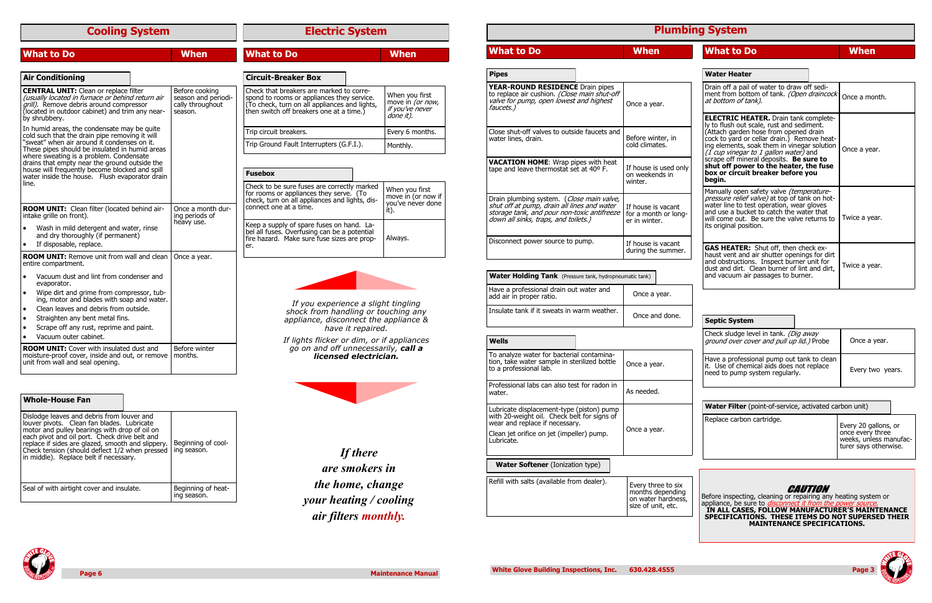### **Cooling System**

| <b>What to Do</b>                                                                                                                                                                                                       |  | <b>When</b>                                                          | <b>What to Do</b>                                                                                                                                                                   |                       | <b>When</b>                                                        |
|-------------------------------------------------------------------------------------------------------------------------------------------------------------------------------------------------------------------------|--|----------------------------------------------------------------------|-------------------------------------------------------------------------------------------------------------------------------------------------------------------------------------|-----------------------|--------------------------------------------------------------------|
|                                                                                                                                                                                                                         |  |                                                                      |                                                                                                                                                                                     |                       |                                                                    |
| <b>Air Conditioning</b>                                                                                                                                                                                                 |  |                                                                      | <b>Circuit-Breaker Box</b>                                                                                                                                                          |                       |                                                                    |
| <b>CENTRAL UNIT:</b> Clean or replace filter<br>(usually located in furnace or behind return air<br><i>grill)</i> . Remove debris around compressor<br>(located in outdoor cabinet) and trim any near-<br>by shrubbery. |  | Before cooking<br>season and periodi-<br>cally throughout<br>season. | Check that breakers are marked to corre-<br>spond to rooms or appliances they service.<br>(To check, turn on all appliances and lights,<br>then switch off breakers one at a time.) |                       | When you first<br>move in (or now,<br>if you've never<br>done it). |
| In humid areas, the condensate may be quite<br>cold such that the drain pipe removing it will                                                                                                                           |  |                                                                      | Trip circuit breakers.                                                                                                                                                              |                       | Every 6 months.                                                    |
| "sweat" when air around it condenses on it.<br>These pipes should be insulated in humid areas                                                                                                                           |  |                                                                      | Trip Ground Fault Interrupters (G.F.I.).                                                                                                                                            |                       | Monthly.                                                           |
| where sweating is a problem. Condensate<br>drains that empty near the ground outside the<br>house will frequently become blocked and spill<br>water inside the house. Flush evaporator drain                            |  |                                                                      | <b>Fusebox</b>                                                                                                                                                                      |                       |                                                                    |
| line.                                                                                                                                                                                                                   |  |                                                                      | Check to be sure fuses are correctly marked<br>for rooms or appliances they serve. (To<br>check, turn on all appliances and lights, dis-                                            |                       | When you first<br>move in (or now if<br>you've never done          |
| ROOM UNIT: Clean filter (located behind air-<br>intake grille on front).                                                                                                                                                |  | Once a month dur-<br>ing periods of                                  | connect one at a time.                                                                                                                                                              |                       | it).                                                               |
| Wash in mild detergent and water, rinse<br>$\bullet$<br>and dry thoroughly (if permanent)<br>If disposable, replace.<br>$\bullet$                                                                                       |  | heavy use.                                                           | Keep a supply of spare fuses on hand. La-<br>bel all fuses. Overfusing can be a potential<br>fire hazard. Make sure fuse sizes are prop-<br>er.                                     |                       | Always.                                                            |
| <b>ROOM UNIT:</b> Remove unit from wall and clean<br>entire compartment.                                                                                                                                                |  | Once a year.                                                         |                                                                                                                                                                                     |                       |                                                                    |
| Vacuum dust and lint from condenser and<br>$\bullet$<br>evaporator.                                                                                                                                                     |  |                                                                      |                                                                                                                                                                                     |                       |                                                                    |
| Wipe dirt and grime from compressor, tub-<br>$\bullet$<br>ing, motor and blades with soap and water.                                                                                                                    |  |                                                                      | If you experience a slight tingling                                                                                                                                                 |                       |                                                                    |
| Clean leaves and debris from outside.<br>$\bullet$                                                                                                                                                                      |  |                                                                      | shock from handling or touching any                                                                                                                                                 |                       |                                                                    |
| Straighten any bent metal fins.<br>$\bullet$<br>Scrape off any rust, reprime and paint.<br>$\bullet$                                                                                                                    |  |                                                                      | appliance, disconnect the appliance &                                                                                                                                               |                       |                                                                    |
| Vacuum outer cabinet.<br>$\bullet$                                                                                                                                                                                      |  |                                                                      |                                                                                                                                                                                     | have it repaired.     |                                                                    |
| <b>ROOM UNIT:</b> Cover with insulated dust and<br>moisture-proof cover, inside and out, or remove<br>unit from wall and seal opening.                                                                                  |  | Before winter<br>months.                                             | If lights flicker or dim, or if appliances<br>go on and off unnecessarily, call a                                                                                                   | licensed electrician. |                                                                    |

| Dislodge leaves and debris from louver and<br>louver pivots. Clean fan blades. Lubricate<br>motor and pulley bearings with drop of oil on<br>each pivot and oil port. Check drive belt and<br>replace if sides are glazed, smooth and slippery.<br>Check tension (should deflect 1/2 when pressed<br>in middle). Replace belt if necessary. | Beginning of cool-<br>ing season. |
|---------------------------------------------------------------------------------------------------------------------------------------------------------------------------------------------------------------------------------------------------------------------------------------------------------------------------------------------|-----------------------------------|
| Seal of with airtight cover and insulate.                                                                                                                                                                                                                                                                                                   | Beginning of heat-<br>ing season. |

#### **Whole-House Fan**

### **Electric System**

*If there* 

*are smokers in* 

*the home, change* 

*your heating / cooling* 

*air filters monthly.*

| Check sludge level in tank. (Dig away<br>ground over cover and pull up lid.) Probe                                        | Once a year.     |
|---------------------------------------------------------------------------------------------------------------------------|------------------|
| Have a professional pump out tank to clean<br>it. Use of chemical aids does not replace<br>need to pump system regularly. | Every two years. |

#### **Plumbing System**

| <b>Pipes</b>                                                                                                                                                                    |                                                             |
|---------------------------------------------------------------------------------------------------------------------------------------------------------------------------------|-------------------------------------------------------------|
| <b>YEAR-ROUND RESIDENCE</b> Drain pipes<br>to replace air cushion. (Close main shut-off<br>valve for pump, open lowest and highest<br>faucets.)                                 | Once a year.                                                |
| Close shut-off valves to outside faucets and<br>water lines, drain.                                                                                                             | Before winter, in<br>cold climates.                         |
| <b>VACATION HOME:</b> Wrap pipes with heat<br>tape and leave thermostat set at 40° F.                                                                                           | If house is used only<br>on weekends in<br>winter.          |
| Drain plumbing system. (Close main valve,<br>shut off at pump, drain all lines and water<br>storage tank, and pour non-toxic antifreeze<br>down all sinks, traps, and toilets.) | If house is vacant<br>for a month or long-<br>er in winter. |
| Disconnect power source to pump.                                                                                                                                                | If house is vacant<br>during the summer.                    |

| Drain off a pail of water to draw off sedi-<br>ment from bottom of tank. (Open draincock<br>at bottom of tank).                                                                                                                                                                                                                                                                                                 | Once a month. |
|-----------------------------------------------------------------------------------------------------------------------------------------------------------------------------------------------------------------------------------------------------------------------------------------------------------------------------------------------------------------------------------------------------------------|---------------|
| <b>ELECTRIC HEATER.</b> Drain tank complete-<br>ly to flush out scale, rust and sediment.<br>(Attach garden hose from opened drain<br>cock to yard or cellar drain.) Remove heat-<br>ing elements, soak them in vinegar solution<br>$(I$ cup vinegar to 1 gallon water) and<br>scrape off mineral deposits. Be sure to<br>shut off power to the heater, the fuse<br>box or circuit breaker before you<br>begin. | Once a year.  |
| Manually open safety valve <i>(temperature-</i><br>pressure relief valve) at top of tank on hot-<br>water line to test operation, wear gloves<br>and use a bucket to catch the water that<br>will come out. Be sure the valve returns to<br>its original position.                                                                                                                                              | Twice a year. |
| <b>GAS HEATER:</b> Shut off, then check ex-<br>haust vent and air shutter openings for dirt<br>and obstructions. Inspect burner unit for<br>dust and dirt. Clean burner of lint and dirt,<br>and vacuum air passages to burner.                                                                                                                                                                                 | Twice a year. |

| <b>Water Holding Tank</b> (Pressure tank, hydropneumatic tank)      |              |                |  |  |
|---------------------------------------------------------------------|--------------|----------------|--|--|
| Have a professional drain out water and<br>add air in proper ratio. | Once a year. |                |  |  |
| Insulate tank if it sweats in warm weather.                         |              | Once and done. |  |  |

| <b>Water Filter</b> (point-of-service, activated carbon unit) |                                                                                             |  |  |
|---------------------------------------------------------------|---------------------------------------------------------------------------------------------|--|--|
| Replace carbon cartridge.                                     | Every 20 gallons, or<br>once every three<br>weeks, unless manufac-<br>turer says otherwise. |  |  |



#### **Wells**

| To analyze water for bacterial contamina-<br>tion, take water sample in sterilized bottle<br>to a professional lab.                                                                   | Once a year.                                                 |
|---------------------------------------------------------------------------------------------------------------------------------------------------------------------------------------|--------------------------------------------------------------|
| Professional labs can also test for radon in<br>water.                                                                                                                                | As needed.                                                   |
| Lubricate displacement-type (piston) pump<br>with 20-weight oil. Check belt for signs of<br>wear and replace if necessary.<br>Clean jet orifice on jet (impeller) pump.<br>Lubricate. | Once a year.                                                 |
| <b>Water Softener</b> (Ionization type)                                                                                                                                               |                                                              |
| Refill with salts (available from dealer).                                                                                                                                            | Every three to six<br>months depending<br>on water hardness, |



#### **Septic System**

size of unit, etc.



| <b>Water Heater</b> |  |
|---------------------|--|
|                     |  |

Before inspecting, cleaning or repairing any heating system or appliance, be sure to *disconnect it from the power source.* **IN ALL CASES, FOLLOW MANUFACTURER'S MAINTENANCE SPECIFICATIONS. THESE ITEMS DO NOT SUPERSED THEIR MAINTENANCE SPECIFICATIONS.**



## **What to Do When What to Do When**